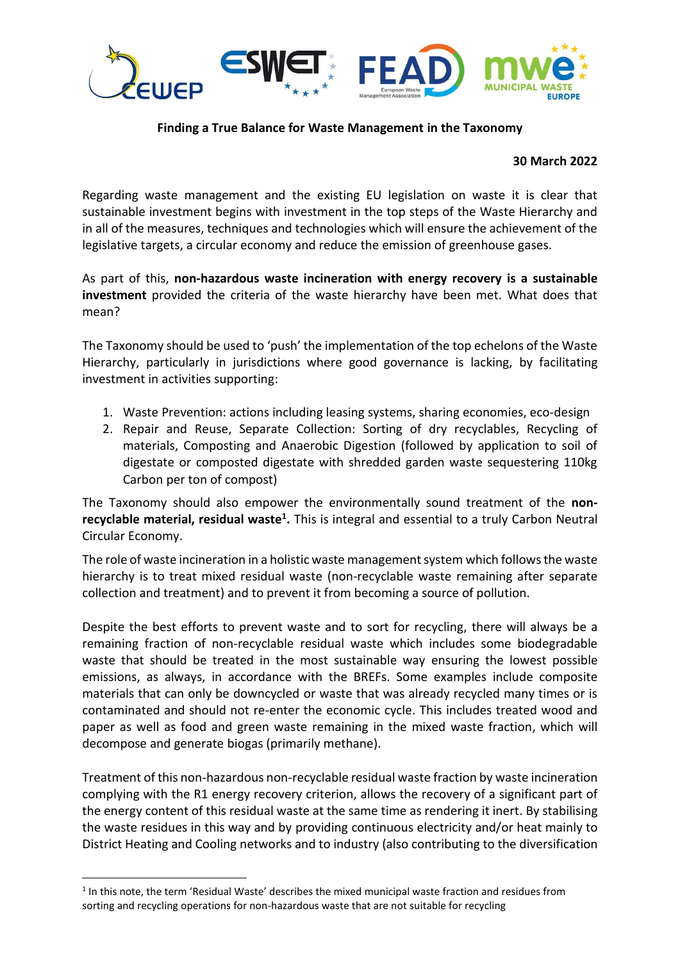

## **Finding a True Balance for Waste Management in the Taxonomy**

## **30 March 2022**

Regarding waste management and the existing EU legislation on waste it is clear that sustainable investment begins with investment in the top steps of the Waste Hierarchy and in all of the measures, techniques and technologies which will ensure the achievement of the legislative targets, a circular economy and reduce the emission of greenhouse gases.

As part of this, **non-hazardous waste incineration with energy recovery is a sustainable investment** provided the criteria of the waste hierarchy have been met. What does that mean?

The Taxonomy should be used to 'push' the implementation of the top echelons of the Waste Hierarchy, particularly in jurisdictions where good governance is lacking, by facilitating investment in activities supporting:

- 1. Waste Prevention: actions including leasing systems, sharing economies, eco-design
- 2. Repair and Reuse, Separate Collection: Sorting of dry recyclables, Recycling of materials, Composting and Anaerobic Digestion (followed by application to soil of digestate or composted digestate with shredded garden waste sequestering 110kg Carbon per ton of compost)

The Taxonomy should also empower the environmentally sound treatment of the **nonrecyclable material, residual waste<sup>1</sup> .** This is integral and essential to a truly Carbon Neutral Circular Economy.

The role of waste incineration in a holistic waste management system which follows the waste hierarchy is to treat mixed residual waste (non-recyclable waste remaining after separate collection and treatment) and to prevent it from becoming a source of pollution.

Despite the best efforts to prevent waste and to sort for recycling, there will always be a remaining fraction of non-recyclable residual waste which includes some biodegradable waste that should be treated in the most sustainable way ensuring the lowest possible emissions, as always, in accordance with the BREFs. Some examples include composite materials that can only be downcycled or waste that was already recycled many times or is contaminated and should not re-enter the economic cycle. This includes treated wood and paper as well as food and green waste remaining in the mixed waste fraction, which will decompose and generate biogas (primarily methane).

Treatment of this non-hazardous non-recyclable residual waste fraction by waste incineration complying with the R1 energy recovery criterion, allows the recovery of a significant part of the energy content of this residual waste at the same time as rendering it inert. By stabilising the waste residues in this way and by providing continuous electricity and/or heat mainly to District Heating and Cooling networks and to industry (also contributing to the diversification

<sup>&</sup>lt;sup>1</sup> In this note, the term 'Residual Waste' describes the mixed municipal waste fraction and residues from sorting and recycling operations for non-hazardous waste that are not suitable for recycling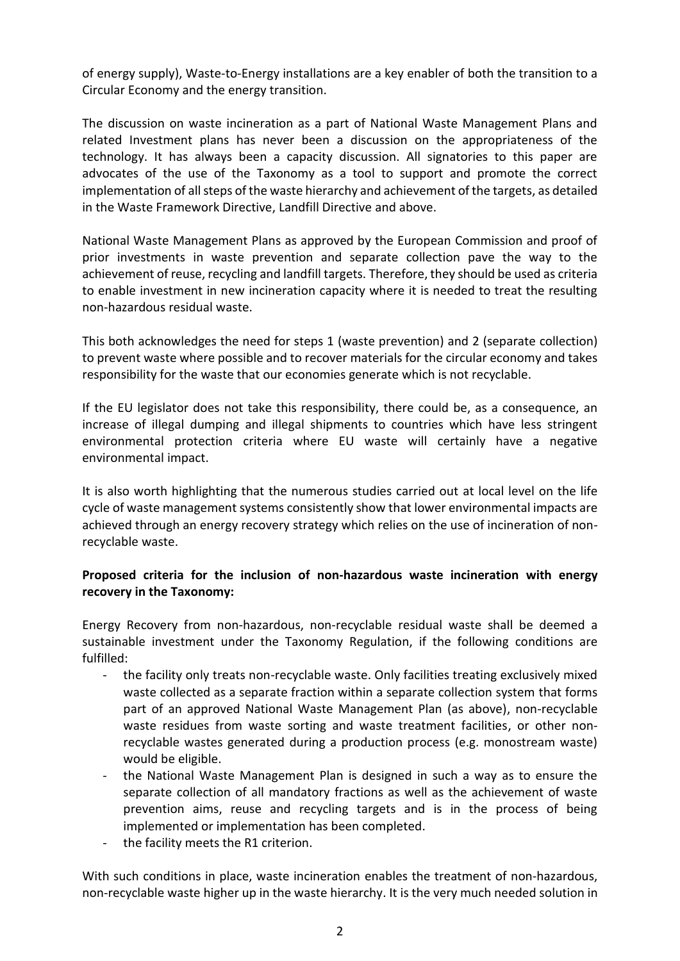of energy supply), Waste-to-Energy installations are a key enabler of both the transition to a Circular Economy and the energy transition.

The discussion on waste incineration as a part of National Waste Management Plans and related Investment plans has never been a discussion on the appropriateness of the technology. It has always been a capacity discussion. All signatories to this paper are advocates of the use of the Taxonomy as a tool to support and promote the correct implementation of all steps of the waste hierarchy and achievement of the targets, as detailed in the Waste Framework Directive, Landfill Directive and above.

National Waste Management Plans as approved by the European Commission and proof of prior investments in waste prevention and separate collection pave the way to the achievement of reuse, recycling and landfill targets. Therefore, they should be used as criteria to enable investment in new incineration capacity where it is needed to treat the resulting non-hazardous residual waste.

This both acknowledges the need for steps 1 (waste prevention) and 2 (separate collection) to prevent waste where possible and to recover materials for the circular economy and takes responsibility for the waste that our economies generate which is not recyclable.

If the EU legislator does not take this responsibility, there could be, as a consequence, an increase of illegal dumping and illegal shipments to countries which have less stringent environmental protection criteria where EU waste will certainly have a negative environmental impact.

It is also worth highlighting that the numerous studies carried out at local level on the life cycle of waste management systems consistently show that lower environmental impacts are achieved through an energy recovery strategy which relies on the use of incineration of nonrecyclable waste.

## **Proposed criteria for the inclusion of non-hazardous waste incineration with energy recovery in the Taxonomy:**

Energy Recovery from non-hazardous, non-recyclable residual waste shall be deemed a sustainable investment under the Taxonomy Regulation, if the following conditions are fulfilled:

- the facility only treats non-recyclable waste. Only facilities treating exclusively mixed waste collected as a separate fraction within a separate collection system that forms part of an approved National Waste Management Plan (as above), non-recyclable waste residues from waste sorting and waste treatment facilities, or other nonrecyclable wastes generated during a production process (e.g. monostream waste) would be eligible.
- the National Waste Management Plan is designed in such a way as to ensure the separate collection of all mandatory fractions as well as the achievement of waste prevention aims, reuse and recycling targets and is in the process of being implemented or implementation has been completed.
- the facility meets the R1 criterion.

With such conditions in place, waste incineration enables the treatment of non-hazardous, non-recyclable waste higher up in the waste hierarchy. It is the very much needed solution in